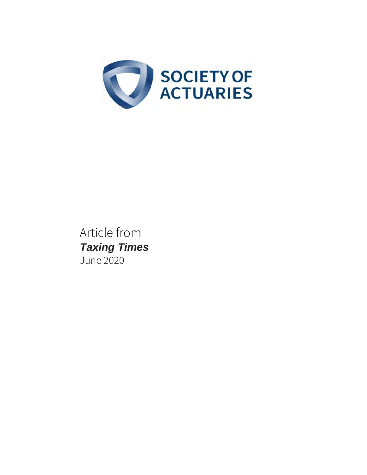

Article from *Taxing Times* June 2020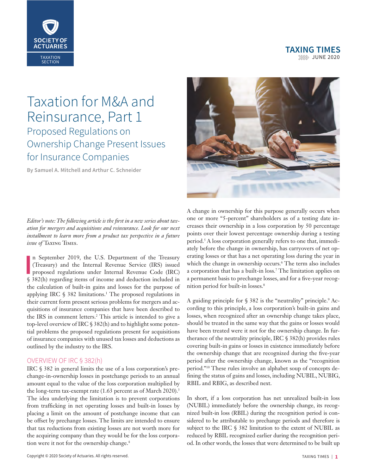## **XXXX** JUNE 2020 **TAXING TIMES**

<span id="page-1-0"></span>

# Taxation for M&A and Reinsurance, Part 1 Proposed Regulations on Ownership Change Present Issues for Insurance Companies

**By Samuel A. Mitchell and Arthur C. Schneider**



*Editor's note: The following article is the first in a new series about taxation for mergers and acquisitions and reinsurance. Look for our next installment to learn more from a product tax perspective in a future issue of* Taxing Times.

In September 2019, the U.S. Department of the Treasury (Treasury) and the Internal Revenue Service (IRS) issued proposed regulations under Internal Revenue Code (IRC) § 382(h) regarding items of income and deduction includ n September 2019, the U.S. Department of the Treasury (Treasury) and the Internal Revenue Service (IRS) issued proposed regulations under Internal Revenue Code (IRC) the calculation of built-in gains and losses for the purpose of applying IRC  $\S$  382 limitations.<sup>1</sup> The proposed regulations in their current form present serious problems for mergers and acquisitions of insurance companies that have been described to the IRS in comment letters.[2](#page-5-0) This article is intended to give a top-level overview of IRC § 382(h) and to highlight some potential problems the proposed regulations present for acquisitions of insurance companies with unused tax losses and deductions as outlined by the industry to the IRS.

## OVERVIEW OF IRC § 382(h)

IRC § 382 in general limits the use of a loss corporation's prechange-in-ownership losses in postchange periods to an annual amount equal to the value of the loss corporation multiplied by the long-term tax-exempt rate (1.63 percent as of March 2020).<sup>3</sup> The idea underlying the limitation is to prevent corporations from trafficking in net operating losses and built-in losses by placing a limit on the amount of postchange income that can be offset by prechange losses. The limits are intended to ensure that tax reductions from existing losses are not worth more for the acquiring company than they would be for the loss corporation were it not for the ownership change.<sup>4</sup>

A change in ownership for this purpose generally occurs when one or more "5-percent" shareholders as of a testing date increases their ownership in a loss corporation by 50 percentage points over their lowest percentage ownership during a testing period[.5](#page-5-0) A loss corporation generally refers to one that, immediately before the change in ownership, has carryovers of net operating losses or that has a net operating loss during the year in which the change in ownership occurs.<sup>[6](#page-5-0)</sup> The term also includes a corporation that has a built-in loss.[7](#page-5-0) The limitation applies on a permanent basis to prechange losses, and for a five-year recognition period for built-in losses[.8](#page-5-0)

A guiding principle for § 382 is the "neutrality" principle.<sup>9</sup> According to this principle, a loss corporation's built-in gains and losses, when recognized after an ownership change takes place, should be treated in the same way that the gains or losses would have been treated were it not for the ownership change. In furtherance of the neutrality principle, IRC § 382(h) provides rules covering built-in gains or losses in existence immediately before the ownership change that are recognized during the five-year period after the ownership change, known as the "recognition period.["10](#page-5-0) These rules involve an alphabet soup of concepts defining the status of gains and losses, including NUBIL, NUBIG, RBIL and RBIG, as described next.

In short, if a loss corporation has net unrealized built-in loss (NUBIL) immediately before the ownership change, its recognized built-in loss (RBIL) during the recognition period is considered to be attributable to prechange periods and therefore is subject to the IRC § 382 limitation to the extent of NUBIL as reduced by RBIL recognized earlier during the recognition period. In other words, the losses that were determined to be built up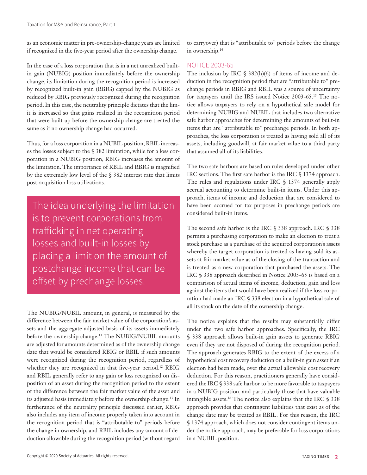<span id="page-2-0"></span>as an economic matter in pre-ownership-change years are limited if recognized in the five-year period after the ownership change.

In the case of a loss corporation that is in a net unrealized builtin gain (NUBIG) position immediately before the ownership change, its limitation during the recognition period is increased by recognized built-in gain (RBIG) capped by the NUBIG as reduced by RBIG previously recognized during the recognition period. In this case, the neutrality principle dictates that the limit is increased so that gains realized in the recognition period that were built up before the ownership change are treated the same as if no ownership change had occurred.

Thus, for a loss corporation in a NUBIL position, RBIL increases the losses subject to the § 382 limitation, while for a loss corporation in a NUBIG position, RBIG increases the amount of the limitation. The importance of RBIL and RBIG is magnified by the extremely low level of the § 382 interest rate that limits post-acquisition loss utilizations.

The idea underlying the limitation is to prevent corporations from trafficking in net operating losses and built-in losses by placing a limit on the amount of postchange income that can be offset by prechange losses.

The NUBIG/NUBIL amount, in general, is measured by the difference between the fair market value of the corporation's assets and the aggregate adjusted basis of its assets immediately before the ownership change.<sup>11</sup> The NUBIG/NUBIL amounts are adjusted for amounts determined as of the ownership change date that would be considered RBIG or RBIL if such amounts were recognized during the recognition period, regardless of whether they are recognized in that five-year period.<sup>12</sup> RBIG and RBIL generally refer to any gain or loss recognized on disposition of an asset during the recognition period to the extent of the difference between the fair market value of the asset and its adjusted basis immediately before the ownership change[.13](#page-5-0) In furtherance of the neutrality principle discussed earlier, RBIG also includes any item of income properly taken into account in the recognition period that is "attributable to" periods before the change in ownership, and RBIL includes any amount of deduction allowable during the recognition period (without regard

to carryover) that is "attributable to" periods before the change in ownership.<sup>[14](#page-5-0)</sup>

## NOTICE 2003-65

The inclusion by IRC  $\S$  382(h)(6) of items of income and deduction in the recognition period that are "attributable to" prechange periods in RBIG and RBIL was a source of uncertainty for taxpayers until the IRS issued Notice 2003-65.[15](#page-5-0) The notice allows taxpayers to rely on a hypothetical sale model for determining NUBIG and NUBIL that includes two alternative safe harbor approaches for determining the amounts of built-in items that are "attributable to" prechange periods. In both approaches, the loss corporation is treated as having sold all of its assets, including goodwill, at fair market value to a third party that assumed all of its liabilities.

The two safe harbors are based on rules developed under other IRC sections. The first safe harbor is the IRC § 1374 approach. The rules and regulations under IRC § 1374 generally apply accrual accounting to determine built-in items. Under this approach, items of income and deduction that are considered to have been accrued for tax purposes in prechange periods are considered built-in items.

The second safe harbor is the IRC § 338 approach. IRC § 338 permits a purchasing corporation to make an election to treat a stock purchase as a purchase of the acquired corporation's assets whereby the target corporation is treated as having sold its assets at fair market value as of the closing of the transaction and is treated as a new corporation that purchased the assets. The IRC § 338 approach described in Notice 2003-65 is based on a comparison of actual items of income, deduction, gain and loss against the items that would have been realized if the loss corporation had made an IRC § 338 election in a hypothetical sale of all its stock on the date of the ownership change.

The notice explains that the results may substantially differ under the two safe harbor approaches. Specifically, the IRC § 338 approach allows built-in gain assets to generate RBIG even if they are not disposed of during the recognition period. The approach generates RBIG to the extent of the excess of a hypothetical cost recovery deduction on a built-in gain asset if an election had been made, over the actual allowable cost recovery deduction. For this reason, practitioners generally have considered the IRC § 338 safe harbor to be more favorable to taxpayers in a NUBIG position, and particularly those that have valuable intangible assets.<sup>16</sup> The notice also explains that the IRC  $\S$  338 approach provides that contingent liabilities that exist as of the change date may be treated as RBIL. For this reason, the IRC § 1374 approach, which does not consider contingent items under the notice approach, may be preferable for loss corporations in a NUBIL position.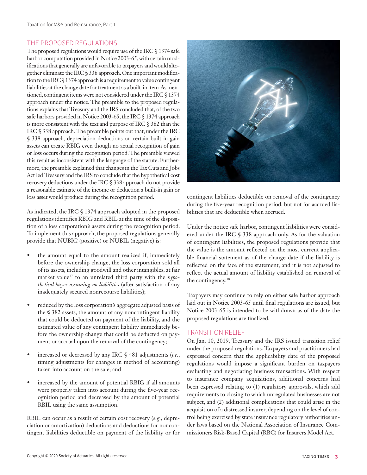## <span id="page-3-0"></span>THE PROPOSED REGULATIONS

The proposed regulations would require use of the IRC § 1374 safe harbor computation provided in Notice 2003-65, with certain modifications that generally are unfavorable to taxpayers and would altogether eliminate the IRC § 338 approach. One important modification to the IRC § 1374 approach is a requirement to value contingent liabilities at the change date for treatment as a built-in item. As mentioned, contingent items were not considered under the IRC § 1374 approach under the notice. The preamble to the proposed regulations explains that Treasury and the IRS concluded that, of the two safe harbors provided in Notice 2003-65, the IRC § 1374 approach is more consistent with the text and purpose of IRC § 382 than the IRC § 338 approach. The preamble points out that, under the IRC § 338 approach, depreciation deductions on certain built-in gain assets can create RBIG even though no actual recognition of gain or loss occurs during the recognition period. The preamble viewed this result as inconsistent with the language of the statute. Furthermore, the preamble explained that changes in the Tax Cuts and Jobs Act led Treasury and the IRS to conclude that the hypothetical cost recovery deductions under the IRC § 338 approach do not provide a reasonable estimate of the income or deduction a built-in gain or loss asset would produce during the recognition period.

As indicated, the IRC § 1374 approach adopted in the proposed regulations identifies RBIG and RBIL at the time of the disposition of a loss corporation's assets during the recognition period. To implement this approach, the proposed regulations generally provide that NUBIG (positive) or NUBIL (negative) is:

- the amount equal to the amount realized if, immediately before the ownership change, the loss corporation sold all of its assets, including goodwill and other intangibles, at fair market value<sup>17</sup> to an unrelated third party with the *hypothetical buyer assuming no liabilities* (after satisfaction of any inadequately secured nonrecourse liabilities);
- reduced by the loss corporation's aggregate adjusted basis of the § 382 assets, the amount of any noncontingent liability that could be deducted on payment of the liability, and the estimated value of any contingent liability immediately before the ownership change that could be deducted on payment or accrual upon the removal of the contingency;
- increased or decreased by any IRC § 481 adjustments (*i.e.*, timing adjustments for changes in method of accounting) taken into account on the sale; and
- increased by the amount of potential RBIG if all amounts were properly taken into account during the five-year recognition period and decreased by the amount of potential RBIL using the same assumption.

RBIL can occur as a result of certain cost recovery (*e.g.*, depreciation or amortization) deductions and deductions for noncontingent liabilities deductible on payment of the liability or for



contingent liabilities deductible on removal of the contingency during the five-year recognition period, but not for accrued liabilities that are deductible when accrued.

Under the notice safe harbor, contingent liabilities were considered under the IRC § 338 approach only. As for the valuation of contingent liabilities, the proposed regulations provide that the value is the amount reflected on the most current applicable financial statement as of the change date if the liability is reflected on the face of the statement, and it is not adjusted to reflect the actual amount of liability established on removal of the contingency.<sup>18</sup>

Taxpayers may continue to rely on either safe harbor approach laid out in Notice 2003-65 until final regulations are issued, but Notice 2003-65 is intended to be withdrawn as of the date the proposed regulations are finalized.

## TRANSITION RELIEF

On Jan. 10, 2019, Treasury and the IRS issued transition relief under the proposed regulations. Taxpayers and practitioners had expressed concern that the applicability date of the proposed regulations would impose a significant burden on taxpayers evaluating and negotiating business transactions. With respect to insurance company acquisitions, additional concerns had been expressed relating to (1) regulatory approvals, which add requirements to closing to which unregulated businesses are not subject, and (2) additional complications that could arise in the acquisition of a distressed insurer, depending on the level of control being exercised by state insurance regulatory authorities under laws based on the National Association of Insurance Commissioners Risk-Based Capital (RBC) for Insurers Model Act.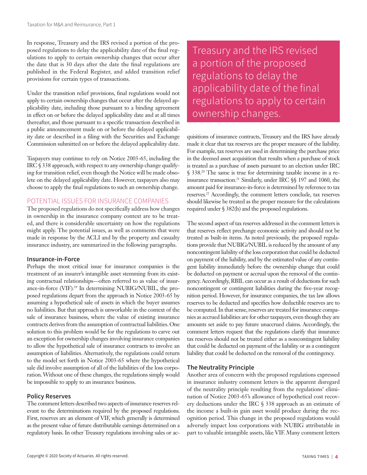<span id="page-4-0"></span>In response, Treasury and the IRS revised a portion of the proposed regulations to delay the applicability date of the final regulations to apply to certain ownership changes that occur after the date that is 30 days after the date the final regulations are published in the Federal Register, and added transition relief provisions for certain types of transactions.

Under the transition relief provisions, final regulations would not apply to certain ownership changes that occur after the delayed applicability date, including those pursuant to a binding agreement in effect on or before the delayed applicability date and at all times thereafter, and those pursuant to a specific transaction described in a public announcement made on or before the delayed applicability date or described in a filing with the Securities and Exchange Commission submitted on or before the delayed applicability date.

Taxpayers may continue to rely on Notice 2003-65, including the IRC § 338 approach, with respect to any ownership change qualifying for transition relief, even though the Notice will be made obsolete on the delayed applicability date. However, taxpayers also may choose to apply the final regulations to such an ownership change.

## POTENTIAL ISSUES FOR INSURANCE COMPANIES

The proposed regulations do not specifically address how changes in ownership in the insurance company context are to be treated, and there is considerable uncertainty on how the regulations might apply. The potential issues, as well as comments that were made in response by the ACLI and by the property and casualty insurance industry, are summarized in the following paragraphs.

#### **Insurance-in-Force**

Perhaps the most critical issue for insurance companies is the treatment of an insurer's intangible asset stemming from its existing contractual relationships—often referred to as value of insurance-in-force (VIF)[.19](#page-5-0) In determining NUBIG/NUBIL, the proposed regulations depart from the approach in Notice 2003-65 by assuming a hypothetical sale of assets in which the buyer assumes no liabilities. But that approach is unworkable in the context of the sale of insurance business, where the value of existing insurance contracts derives from the assumption of contractual liabilities. One solution to this problem would be for the regulations to carve out an exception for ownership changes involving insurance companies to allow the hypothetical sale of insurance contracts to involve an assumption of liabilities. Alternatively, the regulations could return to the model set forth in Notice 2003-65 where the hypothetical sale did involve assumption of all of the liabilities of the loss corporation. Without one of these changes, the regulations simply would be impossible to apply to an insurance business.

#### **Policy Reserves**

The comment letters described two aspects of insurance reserves relevant to the determinations required by the proposed regulations. First, reserves are an element of VIF, which generally is determined as the present value of future distributable earnings determined on a regulatory basis. In other Treasury regulations involving sales or acTreasury and the IRS revised a portion of the proposed regulations to delay the applicability date of the final regulations to apply to certain ownership changes.

quisitions of insurance contracts, Treasury and the IRS have already made it clear that tax reserves are the proper measure of the liability. For example, tax reserves are used in determining the purchase price in the deemed asset acquisition that results when a purchase of stock is treated as a purchase of assets pursuant to an election under IRC § 338[.20](#page-5-0) The same is true for determining taxable income in a reinsurance transaction[.21](#page-5-0) Similarly, under IRC §§ 197 and 1060, the amount paid for insurance-in-force is determined by reference to tax reserves[.22](#page-5-0) Accordingly, the comment letters conclude, tax reserves should likewise be treated as the proper measure for the calculations required under § 382(h) and the proposed regulations.

The second aspect of tax reserves addressed in the comment letters is that reserves reflect prechange economic activity and should not be treated as built-in items. As noted previously, the proposed regulations provide that NUBIG/NUBIL is reduced by the amount of any noncontingent liability of the loss corporation that could be deducted on payment of the liability, and by the estimated value of any contingent liability immediately before the ownership change that could be deducted on payment or accrual upon the removal of the contingency. Accordingly, RBIL can occur as a result of deductions for such noncontingent or contingent liabilities during the five-year recognition period. However, for insurance companies, the tax law allows reserves to be deducted and specifies how deductible reserves are to be computed. In that sense, reserves are treated for insurance companies as accrued liabilities are for other taxpayers, even though they are amounts set aside to pay future unaccrued claims. Accordingly, the comment letters request that the regulations clarify that insurance tax reserves should not be treated either as a noncontingent liability that could be deducted on payment of the liability or as a contingent liability that could be deducted on the removal of the contingency.

## **The Neutrality Principle**

Another area of concern with the proposed regulations expressed in insurance industry comment letters is the apparent disregard of the neutrality principle resulting from the regulations' elimination of Notice 2003-65's allowance of hypothetical cost recovery deductions under the IRC § 338 approach as an estimate of the income a built-in gain asset would produce during the recognition period. This change in the proposed regulations would adversely impact loss corporations with NUBIG attributable in part to valuable intangible assets, like VIF. Many comment letters